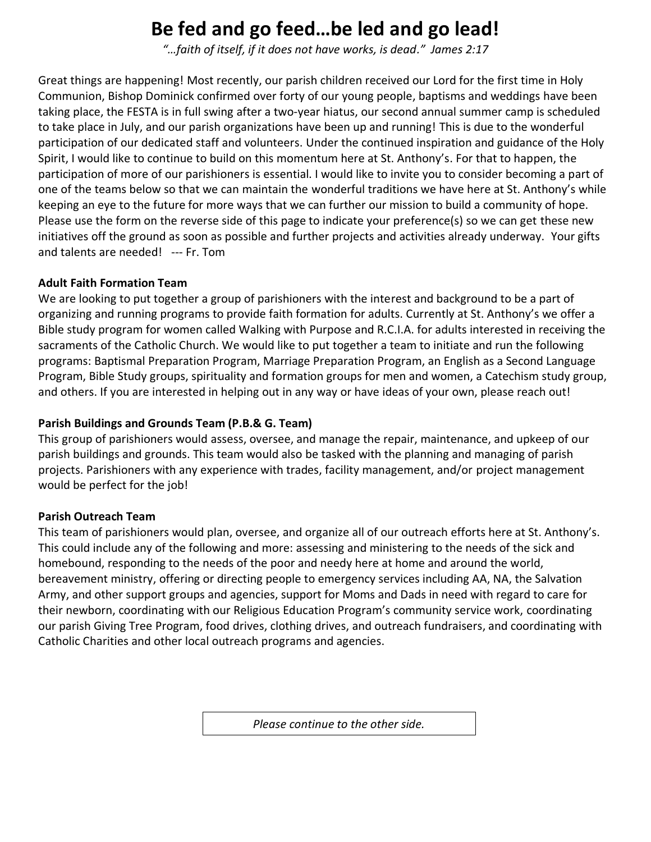# **Be fed and go feed…be led and go lead!**

*"…faith of itself, if it does not have works, is dead." James 2:17*

Great things are happening! Most recently, our parish children received our Lord for the first time in Holy Communion, Bishop Dominick confirmed over forty of our young people, baptisms and weddings have been taking place, the FESTA is in full swing after a two-year hiatus, our second annual summer camp is scheduled to take place in July, and our parish organizations have been up and running! This is due to the wonderful participation of our dedicated staff and volunteers. Under the continued inspiration and guidance of the Holy Spirit, I would like to continue to build on this momentum here at St. Anthony's. For that to happen, the participation of more of our parishioners is essential. I would like to invite you to consider becoming a part of one of the teams below so that we can maintain the wonderful traditions we have here at St. Anthony's while keeping an eye to the future for more ways that we can further our mission to build a community of hope. Please use the form on the reverse side of this page to indicate your preference(s) so we can get these new initiatives off the ground as soon as possible and further projects and activities already underway.Your gifts and talents are needed! --- Fr. Tom

## **Adult Faith Formation Team**

We are looking to put together a group of parishioners with the interest and background to be a part of organizing and running programs to provide faith formation for adults. Currently at St. Anthony's we offer a Bible study program for women called Walking with Purpose and R.C.I.A. for adults interested in receiving the sacraments of the Catholic Church. We would like to put together a team to initiate and run the following programs: Baptismal Preparation Program, Marriage Preparation Program, an English as a Second Language Program, Bible Study groups, spirituality and formation groups for men and women, a Catechism study group, and others. If you are interested in helping out in any way or have ideas of your own, please reach out!

## **Parish Buildings and Grounds Team (P.B.& G. Team)**

This group of parishioners would assess, oversee, and manage the repair, maintenance, and upkeep of our parish buildings and grounds. This team would also be tasked with the planning and managing of parish projects. Parishioners with any experience with trades, facility management, and/or project management would be perfect for the job!

#### **Parish Outreach Team**

This team of parishioners would plan, oversee, and organize all of our outreach efforts here at St. Anthony's. This could include any of the following and more: assessing and ministering to the needs of the sick and homebound, responding to the needs of the poor and needy here at home and around the world, bereavement ministry, offering or directing people to emergency services including AA, NA, the Salvation Army, and other support groups and agencies, support for Moms and Dads in need with regard to care for their newborn, coordinating with our Religious Education Program's community service work, coordinating our parish Giving Tree Program, food drives, clothing drives, and outreach fundraisers, and coordinating with Catholic Charities and other local outreach programs and agencies.

*Please continue to the other side.*